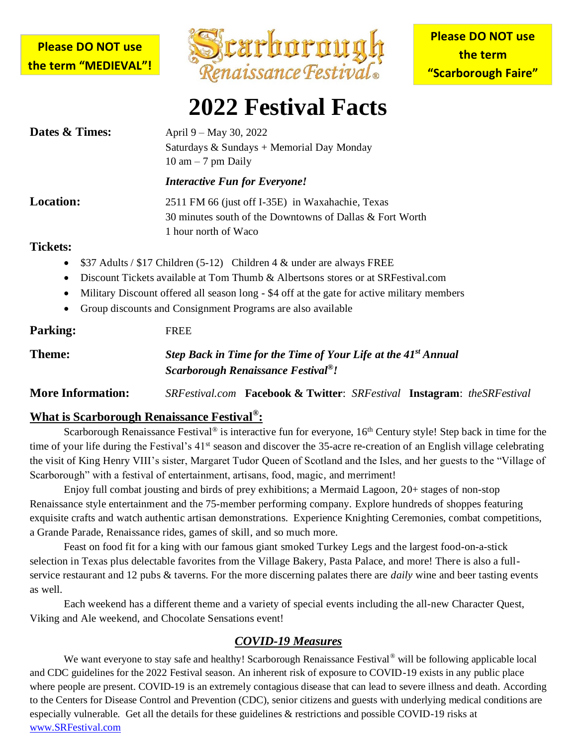### **Please DO NOT use the term "MEDIEVAL"!**



# **2022 Festival Facts**

| Dates & Times:                                                      | April 9 – May 30, 2022<br>Saturdays & Sundays + Memorial Day Monday<br>$10 \text{ am} - 7 \text{ pm Daily}$                                                                                                                                                                                                             |  |  |
|---------------------------------------------------------------------|-------------------------------------------------------------------------------------------------------------------------------------------------------------------------------------------------------------------------------------------------------------------------------------------------------------------------|--|--|
|                                                                     | <b>Interactive Fun for Everyone!</b>                                                                                                                                                                                                                                                                                    |  |  |
| <b>Location:</b>                                                    | 2511 FM 66 (just off I-35E) in Waxahachie, Texas<br>30 minutes south of the Downtowns of Dallas & Fort Worth<br>1 hour north of Waco                                                                                                                                                                                    |  |  |
| <b>Tickets:</b><br>$\bullet$<br>$\bullet$<br>$\bullet$<br>$\bullet$ | \$37 Adults / \$17 Children (5-12) Children 4 & under are always FREE<br>Discount Tickets available at Tom Thumb & Albertsons stores or at SRFestival.com<br>Military Discount offered all season long - \$4 off at the gate for active military members<br>Group discounts and Consignment Programs are also available |  |  |
| <b>Parking:</b>                                                     | <b>FREE</b>                                                                                                                                                                                                                                                                                                             |  |  |
| <b>Theme:</b>                                                       | Step Back in Time for the Time of Your Life at the 41 <sup>st</sup> Annual                                                                                                                                                                                                                                              |  |  |

| <b>Parking:</b>          | <b>FREE</b>                                                                                                                   |  |  |  |
|--------------------------|-------------------------------------------------------------------------------------------------------------------------------|--|--|--|
| Theme:                   | Step Back in Time for the Time of Your Life at the 41 <sup>st</sup> Annual<br>Scarborough Renaissance Festival <sup>®</sup> ! |  |  |  |
| <b>More Information:</b> | SRFestival.com Facebook & Twitter: SRFestival Instagram: the SRFestival                                                       |  |  |  |

#### **What is Scarborough Renaissance Festival® :**

Scarborough Renaissance Festival<sup>®</sup> is interactive fun for everyone, 16<sup>th</sup> Century style! Step back in time for the time of your life during the Festival's 41<sup>st</sup> season and discover the 35-acre re-creation of an English village celebrating the visit of King Henry VIII's sister, Margaret Tudor Queen of Scotland and the Isles, and her guests to the "Village of Scarborough" with a festival of entertainment, artisans, food, magic, and merriment!

Enjoy full combat jousting and birds of prey exhibitions; a Mermaid Lagoon, 20+ stages of non-stop Renaissance style entertainment and the 75-member performing company. Explore hundreds of shoppes featuring exquisite crafts and watch authentic artisan demonstrations. Experience Knighting Ceremonies, combat competitions, a Grande Parade, Renaissance rides, games of skill, and so much more.

Feast on food fit for a king with our famous giant smoked Turkey Legs and the largest food-on-a-stick selection in Texas plus delectable favorites from the Village Bakery, Pasta Palace, and more! There is also a fullservice restaurant and 12 pubs & taverns. For the more discerning palates there are *daily* wine and beer tasting events as well.

Each weekend has a different theme and a variety of special events including the all-new Character Quest, Viking and Ale weekend, and Chocolate Sensations event!

### *COVID-19 Measures*

We want everyone to stay safe and healthy! Scarborough Renaissance Festival<sup>®</sup> will be following applicable local and CDC guidelines for the 2022 Festival season. An inherent risk of exposure to COVID-19 exists in any public place where people are present. COVID-19 is an extremely contagious disease that can lead to severe illness and death. According to the Centers for Disease Control and Prevention (CDC), senior citizens and guests with underlying medical conditions are especially vulnerable. Get all the details for these guidelines & restrictions and possible COVID-19 risks at [www.SRFestival.com](http://www.srfestival.com/)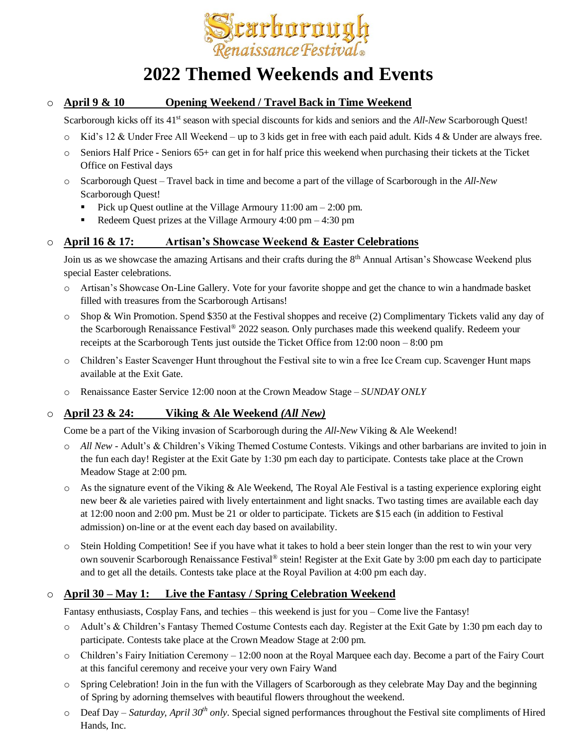

### **2022 Themed Weekends and Events**

#### o **April 9 & 10 Opening Weekend / Travel Back in Time Weekend**

Scarborough kicks off its 41<sup>st</sup> season with special discounts for kids and seniors and the *All-New* Scarborough Quest!

- Kid's 12 & Under Free All Weekend up to 3 kids get in free with each paid adult. Kids  $4 \&$  Under are always free.
- $\circ$  Seniors Half Price Seniors 65+ can get in for half price this weekend when purchasing their tickets at the Ticket Office on Festival days
- o Scarborough Quest Travel back in time and become a part of the village of Scarborough in the *All-New* Scarborough Quest!
	- Pick up Quest outline at the Village Armoury  $11:00$  am  $2:00$  pm.
	- Redeem Quest prizes at the Village Armoury  $4:00 \text{ pm} 4:30 \text{ pm}$

#### o **April 16 & 17: Artisan's Showcase Weekend & Easter Celebrations**

Join us as we showcase the amazing Artisans and their crafts during the 8<sup>th</sup> Annual Artisan's Showcase Weekend plus special Easter celebrations.

- o Artisan's Showcase On-Line Gallery. Vote for your favorite shoppe and get the chance to win a handmade basket filled with treasures from the Scarborough Artisans!
- o Shop & Win Promotion. Spend \$350 at the Festival shoppes and receive (2) Complimentary Tickets valid any day of the Scarborough Renaissance Festival® 2022 season. Only purchases made this weekend qualify. Redeem your receipts at the Scarborough Tents just outside the Ticket Office from 12:00 noon – 8:00 pm
- o Children's Easter Scavenger Hunt throughout the Festival site to win a free Ice Cream cup. Scavenger Hunt maps available at the Exit Gate.
- o Renaissance Easter Service 12:00 noon at the Crown Meadow Stage *SUNDAY ONLY*

#### o **April 23 & 24: Viking & Ale Weekend** *(All New)*

Come be a part of the Viking invasion of Scarborough during the *All-New* Viking & Ale Weekend!

- o *All New* Adult's & Children's Viking Themed Costume Contests. Vikings and other barbarians are invited to join in the fun each day! Register at the Exit Gate by 1:30 pm each day to participate. Contests take place at the Crown Meadow Stage at 2:00 pm.
- $\circ$  As the signature event of the Viking & Ale Weekend, The Royal Ale Festival is a tasting experience exploring eight new beer & ale varieties paired with lively entertainment and light snacks. Two tasting times are available each day at 12:00 noon and 2:00 pm. Must be 21 or older to participate. Tickets are \$15 each (in addition to Festival admission) on-line or at the event each day based on availability.
- o Stein Holding Competition! See if you have what it takes to hold a beer stein longer than the rest to win your very own souvenir Scarborough Renaissance Festival® stein! Register at the Exit Gate by 3:00 pm each day to participate and to get all the details. Contests take place at the Royal Pavilion at 4:00 pm each day.

#### o **April 30 – May 1: Live the Fantasy / Spring Celebration Weekend**

Fantasy enthusiasts, Cosplay Fans, and techies – this weekend is just for you – Come live the Fantasy!

- o Adult's & Children's Fantasy Themed Costume Contests each day. Register at the Exit Gate by 1:30 pm each day to participate. Contests take place at the Crown Meadow Stage at 2:00 pm.
- o Children's Fairy Initiation Ceremony 12:00 noon at the Royal Marquee each day. Become a part of the Fairy Court at this fanciful ceremony and receive your very own Fairy Wand
- o Spring Celebration! Join in the fun with the Villagers of Scarborough as they celebrate May Day and the beginning of Spring by adorning themselves with beautiful flowers throughout the weekend.
- o Deaf Day *Saturday, April 30th only*. Special signed performances throughout the Festival site compliments of Hired Hands, Inc.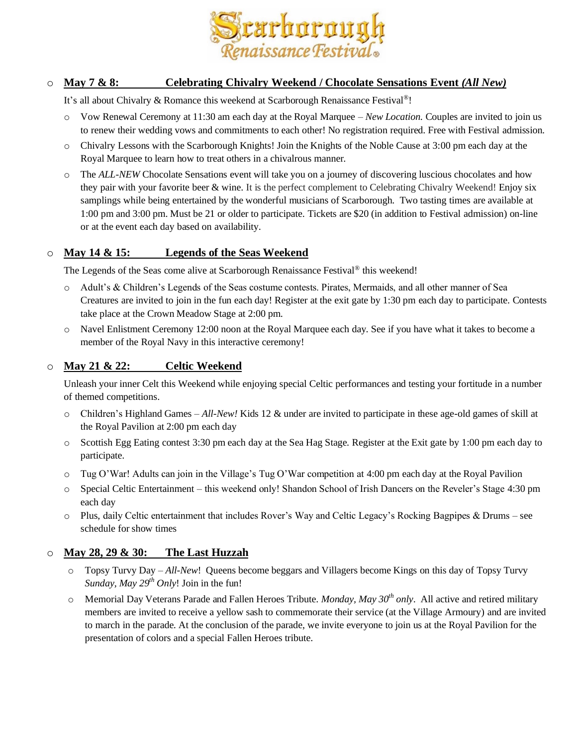

#### o **May 7 & 8: Celebrating Chivalry Weekend / Chocolate Sensations Event** *(All New)*

It's all about Chivalry & Romance this weekend at Scarborough Renaissance Festival®!

- o Vow Renewal Ceremony at 11:30 am each day at the Royal Marquee *– New Location*. Couples are invited to join us to renew their wedding vows and commitments to each other! No registration required. Free with Festival admission.
- $\circ$  Chivalry Lessons with the Scarborough Knights! Join the Knights of the Noble Cause at 3:00 pm each day at the Royal Marquee to learn how to treat others in a chivalrous manner.
- o The *ALL-NEW* Chocolate Sensations event will take you on a journey of discovering luscious chocolates and how they pair with your favorite beer & wine. It is the perfect complement to Celebrating Chivalry Weekend! Enjoy six samplings while being entertained by the wonderful musicians of Scarborough. Two tasting times are available at 1:00 pm and 3:00 pm. Must be 21 or older to participate. Tickets are \$20 (in addition to Festival admission) on-line or at the event each day based on availability.

#### o **May 14 & 15: Legends of the Seas Weekend**

The Legends of the Seas come alive at Scarborough Renaissance Festival<sup>®</sup> this weekend!

- o Adult's & Children's Legends of the Seas costume contests. Pirates, Mermaids, and all other manner of Sea Creatures are invited to join in the fun each day! Register at the exit gate by 1:30 pm each day to participate. Contests take place at the Crown Meadow Stage at 2:00 pm.
- o Navel Enlistment Ceremony 12:00 noon at the Royal Marquee each day. See if you have what it takes to become a member of the Royal Navy in this interactive ceremony!

#### o **May 21 & 22: Celtic Weekend**

Unleash your inner Celt this Weekend while enjoying special Celtic performances and testing your fortitude in a number of themed competitions.

- o Children's Highland Games *– All-New!* Kids 12 & under are invited to participate in these age-old games of skill at the Royal Pavilion at 2:00 pm each day
- o Scottish Egg Eating contest 3:30 pm each day at the Sea Hag Stage. Register at the Exit gate by 1:00 pm each day to participate.
- o Tug O'War! Adults can join in the Village's Tug O'War competition at 4:00 pm each day at the Royal Pavilion
- o Special Celtic Entertainment this weekend only! Shandon School of Irish Dancers on the Reveler's Stage 4:30 pm each day
- o Plus, daily Celtic entertainment that includes Rover's Way and Celtic Legacy's Rocking Bagpipes & Drums see schedule for show times

#### o **May 28, 29 & 30: The Last Huzzah**

- o Topsy Turvy Day *– All-New*! Queens become beggars and Villagers become Kings on this day of Topsy Turvy *Sunday, May 29th Only*! Join in the fun!
- o Memorial Day Veterans Parade and Fallen Heroes Tribute. *Monday, May 30th only*. All active and retired military members are invited to receive a yellow sash to commemorate their service (at the Village Armoury) and are invited to march in the parade. At the conclusion of the parade, we invite everyone to join us at the Royal Pavilion for the presentation of colors and a special Fallen Heroes tribute.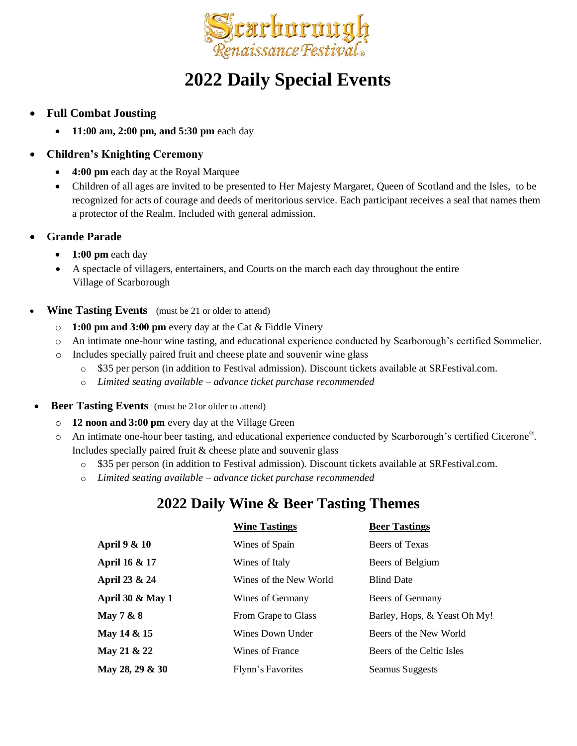

## **2022 Daily Special Events**

- **Full Combat Jousting**
	- **11:00 am, 2:00 pm, and 5:30 pm** each day

#### • **Children's Knighting Ceremony**

- **4:00 pm** each day at the Royal Marquee
- Children of all ages are invited to be presented to Her Majesty Margaret, Queen of Scotland and the Isles, to be recognized for acts of courage and deeds of meritorious service. Each participant receives a seal that names them a protector of the Realm. Included with general admission.
- **Grande Parade**
	- **1:00 pm** each day
	- A spectacle of villagers, entertainers, and Courts on the march each day throughout the entire Village of Scarborough
- **Wine Tasting Events** (must be 21 or older to attend)
	- o **1:00 pm and 3:00 pm** every day at the Cat & Fiddle Vinery
	- o An intimate one-hour wine tasting, and educational experience conducted by Scarborough's certified Sommelier.
	- o Includes specially paired fruit and cheese plate and souvenir wine glass
		- o \$35 per person (in addition to Festival admission). Discount tickets available at SRFestival.com.
		- o *Limited seating available – advance ticket purchase recommended*
- **Beer Tasting Events** (must be 21or older to attend)
	- o **12 noon and 3:00 pm** every day at the Village Green
	- o An intimate one-hour beer tasting, and educational experience conducted by Scarborough's certified Cicerone® . Includes specially paired fruit & cheese plate and souvenir glass
		- o \$35 per person (in addition to Festival admission). Discount tickets available at SRFestival.com.
		- o *Limited seating available – advance ticket purchase recommended*

### **2022 Daily Wine & Beer Tasting Themes**

|                             | <b>Wine Tastings</b>   | <b>Beer Tastings</b>         |
|-----------------------------|------------------------|------------------------------|
| April 9 & 10                | Wines of Spain         | Beers of Texas               |
| April 16 & 17               | Wines of Italy         | Beers of Belgium             |
| April 23 & 24               | Wines of the New World | <b>Blind Date</b>            |
| <b>April 30 &amp; May 1</b> | Wines of Germany       | Beers of Germany             |
| May $7 & 8$                 | From Grape to Glass    | Barley, Hops, & Yeast Oh My! |
| May 14 & 15                 | Wines Down Under       | Beers of the New World       |
| May 21 & 22                 | Wines of France        | Beers of the Celtic Isles    |
| May 28, 29 & 30             | Flynn's Favorites      | Seamus Suggests              |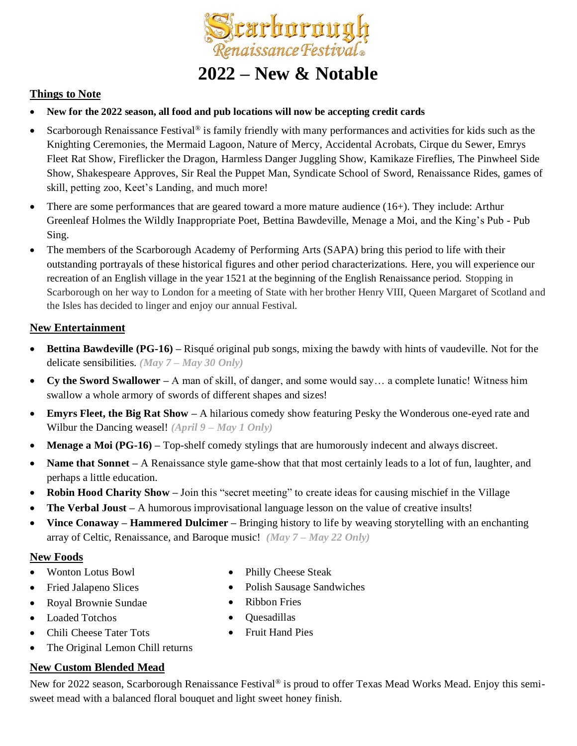

## **2022 – New & Notable**

#### **Things to Note**

- **New for the 2022 season, all food and pub locations will now be accepting credit cards**
- Scarborough Renaissance Festival<sup>®</sup> is family friendly with many performances and activities for kids such as the Knighting Ceremonies, the Mermaid Lagoon, Nature of Mercy, Accidental Acrobats, Cirque du Sewer, Emrys Fleet Rat Show, Fireflicker the Dragon, Harmless Danger Juggling Show, Kamikaze Fireflies, The Pinwheel Side Show, Shakespeare Approves, Sir Real the Puppet Man, Syndicate School of Sword, Renaissance Rides, games of skill, petting zoo, Keet's Landing, and much more!
- There are some performances that are geared toward a more mature audience (16+). They include: Arthur Greenleaf Holmes the Wildly Inappropriate Poet, Bettina Bawdeville, Menage a Moi, and the King's Pub - Pub Sing.
- The members of the Scarborough Academy of Performing Arts (SAPA) bring this period to life with their outstanding portrayals of these historical figures and other period characterizations. Here, you will experience our recreation of an English village in the year 1521 at the beginning of the English Renaissance period. Stopping in Scarborough on her way to London for a meeting of State with her brother Henry VIII, Queen Margaret of Scotland and the Isles has decided to linger and enjoy our annual Festival.

#### **New Entertainment**

- **Bettina Bawdeville (PG-16) –** Risqué original pub songs, mixing the bawdy with hints of vaudeville. Not for the delicate sensibilities. *(May 7 – May 30 Only)*
- **Cy the Sword Swallower –** A man of skill, of danger, and some would say… a complete lunatic! Witness him swallow a whole armory of swords of different shapes and sizes!
- **Emyrs Fleet, the Big Rat Show –** A hilarious comedy show featuring Pesky the Wonderous one-eyed rate and Wilbur the Dancing weasel! *(April 9 – May 1 Only)*
- **Menage a Moi (PG-16)** Top-shelf comedy stylings that are humorously indecent and always discreet.
- **Name that Sonnet** A Renaissance style game-show that that most certainly leads to a lot of fun, laughter, and perhaps a little education.
- **Robin Hood Charity Show** Join this "secret meeting" to create ideas for causing mischief in the Village
- **The Verbal Joust –** A humorous improvisational language lesson on the value of creative insults!
- **Vince Conaway – Hammered Dulcimer –** Bringing history to life by weaving storytelling with an enchanting array of Celtic, Renaissance, and Baroque music! *(May 7 – May 22 Only)*

#### **New Foods**

- Wonton Lotus Bowl
- Fried Jalapeno Slices
- Royal Brownie Sundae
- Loaded Totchos
- Chili Cheese Tater Tots
- Philly Cheese Steak
- Polish Sausage Sandwiches
- Ribbon Fries
- Quesadillas
- Fruit Hand Pies
- The Original Lemon Chill returns

#### **New Custom Blended Mead**

New for 2022 season, Scarborough Renaissance Festival® is proud to offer Texas Mead Works Mead. Enjoy this semisweet mead with a balanced floral bouquet and light sweet honey finish.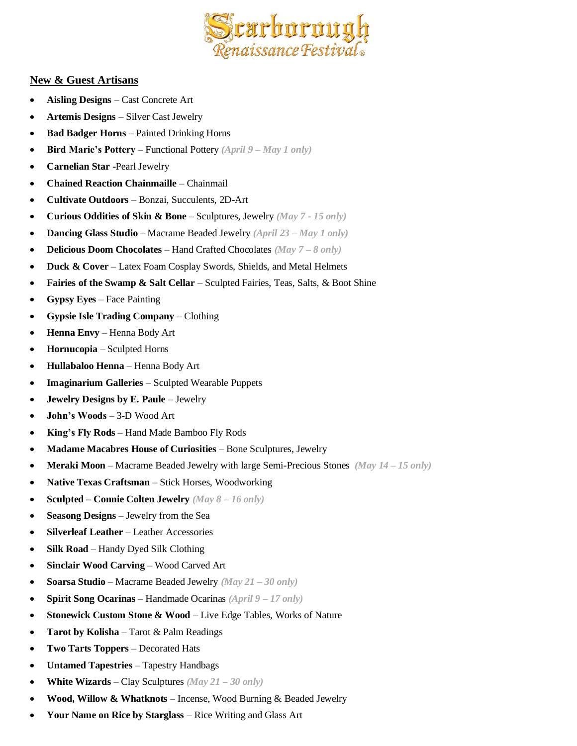

#### **New & Guest Artisans**

- **Aisling Designs** Cast Concrete Art
- **Artemis Designs** Silver Cast Jewelry
- **Bad Badger Horns** Painted Drinking Horns
- **Bird Marie's Pottery** Functional Pottery *(April 9 – May 1 only)*
- **Carnelian Star** -Pearl Jewelry
- **Chained Reaction Chainmaille** Chainmail
- **Cultivate Outdoors** Bonzai, Succulents, 2D-Art
- **Curious Oddities of Skin & Bone** Sculptures, Jewelry *(May 7 - 15 only)*
- **Dancing Glass Studio**  Macrame Beaded Jewelry *(April 23 – May 1 only)*
- **Delicious Doom Chocolates** Hand Crafted Chocolates *(May 7 – 8 only)*
- **Duck & Cover** Latex Foam Cosplay Swords, Shields, and Metal Helmets
- **Fairies of the Swamp & Salt Cellar** Sculpted Fairies, Teas, Salts, & Boot Shine
- **Gypsy Eyes** Face Painting
- **Gypsie Isle Trading Company** Clothing
- **Henna Envy** Henna Body Art
- **Hornucopia**  Sculpted Horns
- **Hullabaloo Henna** Henna Body Art
- **Imaginarium Galleries** Sculpted Wearable Puppets
- **Jewelry Designs by E. Paule** Jewelry
- **John's Woods** 3-D Wood Art
- **King's Fly Rods** Hand Made Bamboo Fly Rods
- **Madame Macabres House of Curiosities** Bone Sculptures, Jewelry
- **Meraki Moon** Macrame Beaded Jewelry with large Semi-Precious Stones *(May 14 – 15 only)*
- **Native Texas Craftsman** Stick Horses, Woodworking
- **Sculpted – Connie Colten Jewelry** *(May 8 – 16 only)*
- **Seasong Designs** Jewelry from the Sea
- **Silverleaf Leather** Leather Accessories
- **Silk Road** Handy Dyed Silk Clothing
- **Sinclair Wood Carving** Wood Carved Art
- **Soarsa Studio** Macrame Beaded Jewelry *(May 21 – 30 only)*
- **Spirit Song Ocarinas** Handmade Ocarinas *(April 9 – 17 only)*
- **Stonewick Custom Stone & Wood** Live Edge Tables, Works of Nature
- **Tarot by Kolisha** Tarot & Palm Readings
- **Two Tarts Toppers** Decorated Hats
- **Untamed Tapestries** Tapestry Handbags
- **White Wizards**  Clay Sculptures *(May 21 – 30 only)*
- **Wood, Willow & Whatknots** Incense, Wood Burning & Beaded Jewelry
- **Your Name on Rice by Starglass**  Rice Writing and Glass Art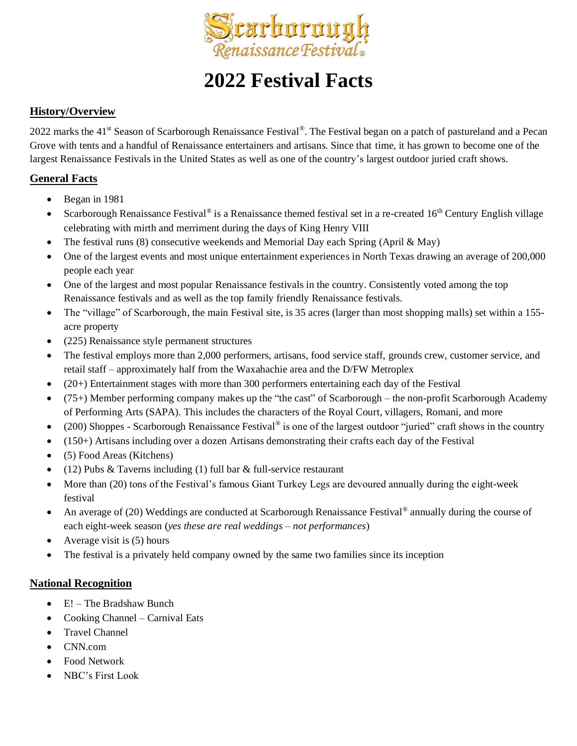

# **2022 Festival Facts**

#### **History/Overview**

2022 marks the 41<sup>st</sup> Season of Scarborough Renaissance Festival®. The Festival began on a patch of pastureland and a Pecan Grove with tents and a handful of Renaissance entertainers and artisans. Since that time, it has grown to become one of the largest Renaissance Festivals in the United States as well as one of the country's largest outdoor juried craft shows.

#### **General Facts**

- Began in 1981
- Scarborough Renaissance Festival<sup>®</sup> is a Renaissance themed festival set in a re-created 16<sup>th</sup> Century English village celebrating with mirth and merriment during the days of King Henry VIII
- The festival runs (8) consecutive weekends and Memorial Day each Spring (April & May)
- One of the largest events and most unique entertainment experiences in North Texas drawing an average of 200,000 people each year
- One of the largest and most popular Renaissance festivals in the country. Consistently voted among the top Renaissance festivals and as well as the top family friendly Renaissance festivals.
- The "village" of Scarborough, the main Festival site, is 35 acres (larger than most shopping malls) set within a 155acre property
- (225) Renaissance style permanent structures
- The festival employs more than 2,000 performers, artisans, food service staff, grounds crew, customer service, and retail staff – approximately half from the Waxahachie area and the D/FW Metroplex
- (20+) Entertainment stages with more than 300 performers entertaining each day of the Festival
- (75+) Member performing company makes up the "the cast" of Scarborough the non-profit Scarborough Academy of Performing Arts (SAPA). This includes the characters of the Royal Court, villagers, Romani, and more
- (200) Shoppes Scarborough Renaissance Festival<sup>®</sup> is one of the largest outdoor "juried" craft shows in the country
- (150+) Artisans including over a dozen Artisans demonstrating their crafts each day of the Festival
- (5) Food Areas (Kitchens)
- (12) Pubs  $&$  Taverns including (1) full bar  $&$  full-service restaurant
- More than (20) tons of the Festival's famous Giant Turkey Legs are devoured annually during the eight-week festival
- An average of (20) Weddings are conducted at Scarborough Renaissance Festival<sup>®</sup> annually during the course of each eight-week season (*yes these are real weddings – not performances*)
- Average visit is  $(5)$  hours
- The festival is a privately held company owned by the same two families since its inception

#### **National Recognition**

- E! The Bradshaw Bunch
- Cooking Channel Carnival Eats
- Travel Channel
- CNN.com
- Food Network
- NBC's First Look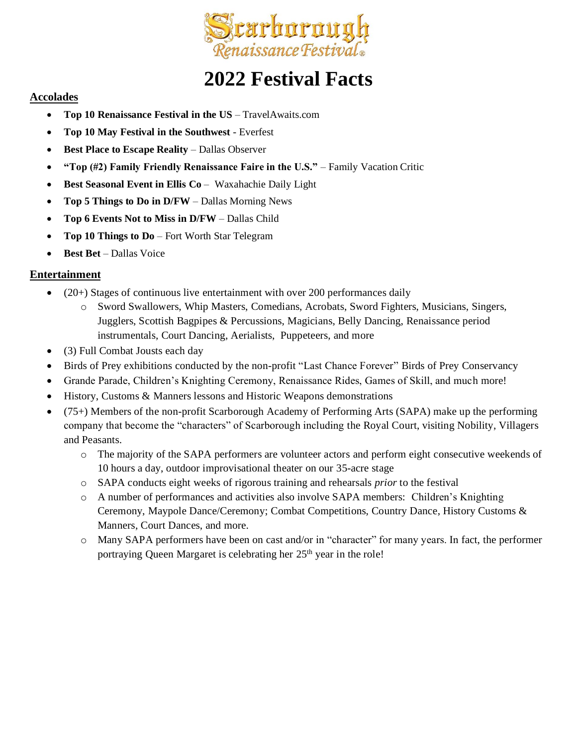

# **2022 Festival Facts**

#### **Accolades**

- **Top 10 Renaissance Festival in the US** TravelAwaits.com
- **Top 10 May Festival in the Southwest**  Everfest
- **Best Place to Escape Reality** Dallas Observer
- **"Top (#2) Family Friendly Renaissance Faire in the U.S."** Family Vacation Critic
- **Best Seasonal Event in Ellis Co** Waxahachie Daily Light
- **Top 5 Things to Do in D/FW**  Dallas Morning News
- **Top 6 Events Not to Miss in D/FW**  Dallas Child
- **Top 10 Things to Do**  Fort Worth Star Telegram
- **Best Bet** Dallas Voice

#### **Entertainment**

- $\bullet$  (20+) Stages of continuous live entertainment with over 200 performances daily
	- o Sword Swallowers, Whip Masters, Comedians, Acrobats, Sword Fighters, Musicians, Singers, Jugglers, Scottish Bagpipes & Percussions, Magicians, Belly Dancing, Renaissance period instrumentals, Court Dancing, Aerialists, Puppeteers, and more
- (3) Full Combat Jousts each day
- Birds of Prey exhibitions conducted by the non-profit "Last Chance Forever" Birds of Prey Conservancy
- Grande Parade, Children's Knighting Ceremony, Renaissance Rides, Games of Skill, and much more!
- History, Customs & Manners lessons and Historic Weapons demonstrations
- (75+) Members of the non-profit Scarborough Academy of Performing Arts (SAPA) make up the performing company that become the "characters" of Scarborough including the Royal Court, visiting Nobility, Villagers and Peasants.
	- o The majority of the SAPA performers are volunteer actors and perform eight consecutive weekends of 10 hours a day, outdoor improvisational theater on our 35-acre stage
	- o SAPA conducts eight weeks of rigorous training and rehearsals *prior* to the festival
	- o A number of performances and activities also involve SAPA members: Children's Knighting Ceremony, Maypole Dance/Ceremony; Combat Competitions, Country Dance, History Customs & Manners, Court Dances, and more.
	- o Many SAPA performers have been on cast and/or in "character" for many years. In fact, the performer portraying Queen Margaret is celebrating her 25<sup>th</sup> year in the role!